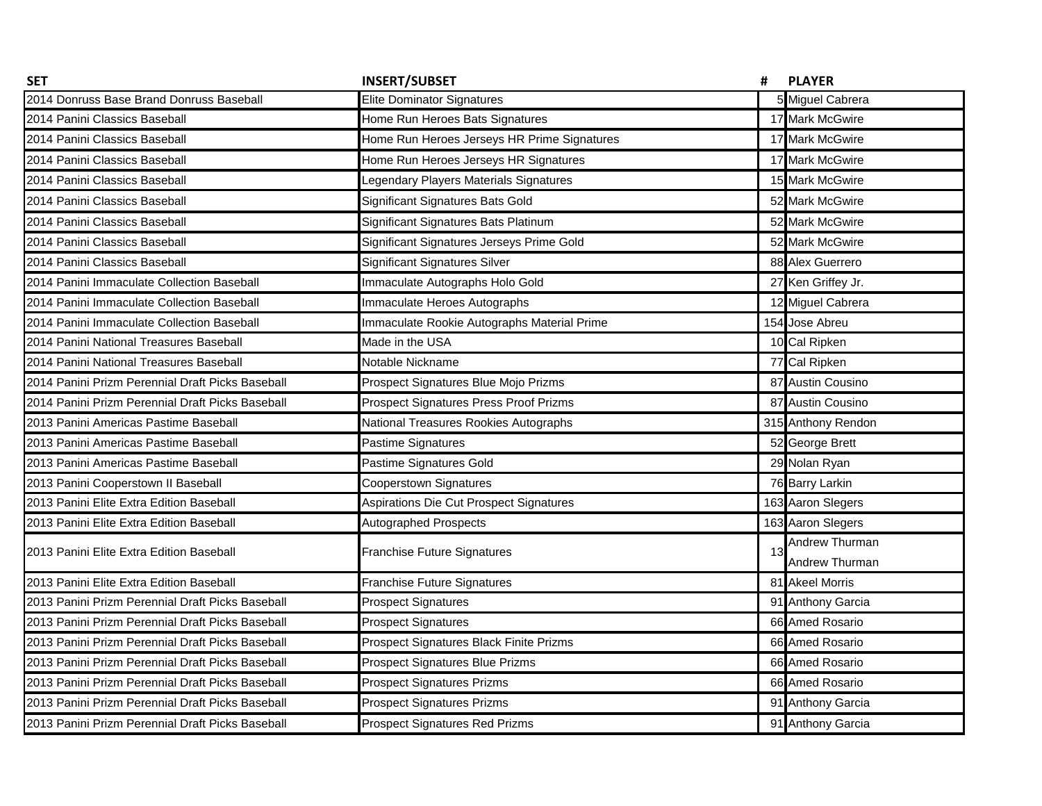| <b>SET</b>                                       | <b>INSERT/SUBSET</b>                          | #  | <b>PLAYER</b>      |
|--------------------------------------------------|-----------------------------------------------|----|--------------------|
| 2014 Donruss Base Brand Donruss Baseball         | <b>Elite Dominator Signatures</b>             |    | 5 Miguel Cabrera   |
| 2014 Panini Classics Baseball                    | Home Run Heroes Bats Signatures               |    | 17 Mark McGwire    |
| 2014 Panini Classics Baseball                    | Home Run Heroes Jerseys HR Prime Signatures   |    | 17 Mark McGwire    |
| 2014 Panini Classics Baseball                    | Home Run Heroes Jerseys HR Signatures         |    | 17 Mark McGwire    |
| 2014 Panini Classics Baseball                    | Legendary Players Materials Signatures        |    | 15 Mark McGwire    |
| 2014 Panini Classics Baseball                    | Significant Signatures Bats Gold              |    | 52 Mark McGwire    |
| 2014 Panini Classics Baseball                    | Significant Signatures Bats Platinum          |    | 52 Mark McGwire    |
| 2014 Panini Classics Baseball                    | Significant Signatures Jerseys Prime Gold     |    | 52 Mark McGwire    |
| 2014 Panini Classics Baseball                    | <b>Significant Signatures Silver</b>          |    | 88 Alex Guerrero   |
| 2014 Panini Immaculate Collection Baseball       | Immaculate Autographs Holo Gold               |    | 27 Ken Griffey Jr. |
| 2014 Panini Immaculate Collection Baseball       | Immaculate Heroes Autographs                  |    | 12 Miguel Cabrera  |
| 2014 Panini Immaculate Collection Baseball       | Immaculate Rookie Autographs Material Prime   |    | 154 Jose Abreu     |
| 2014 Panini National Treasures Baseball          | Made in the USA                               |    | 10 Cal Ripken      |
| 2014 Panini National Treasures Baseball          | Notable Nickname                              |    | 77 Cal Ripken      |
| 2014 Panini Prizm Perennial Draft Picks Baseball | Prospect Signatures Blue Mojo Prizms          |    | 87 Austin Cousino  |
| 2014 Panini Prizm Perennial Draft Picks Baseball | <b>Prospect Signatures Press Proof Prizms</b> |    | 87 Austin Cousino  |
| 2013 Panini Americas Pastime Baseball            | National Treasures Rookies Autographs         |    | 315 Anthony Rendon |
| 2013 Panini Americas Pastime Baseball            | Pastime Signatures                            |    | 52 George Brett    |
| 2013 Panini Americas Pastime Baseball            | Pastime Signatures Gold                       |    | 29 Nolan Ryan      |
| 2013 Panini Cooperstown II Baseball              | <b>Cooperstown Signatures</b>                 |    | 76 Barry Larkin    |
| 2013 Panini Elite Extra Edition Baseball         | Aspirations Die Cut Prospect Signatures       |    | 163 Aaron Slegers  |
| 2013 Panini Elite Extra Edition Baseball         | <b>Autographed Prospects</b>                  |    | 163 Aaron Slegers  |
| 2013 Panini Elite Extra Edition Baseball         | <b>Franchise Future Signatures</b>            | 13 | Andrew Thurman     |
|                                                  |                                               |    | Andrew Thurman     |
| 2013 Panini Elite Extra Edition Baseball         | <b>Franchise Future Signatures</b>            |    | 81 Akeel Morris    |
| 2013 Panini Prizm Perennial Draft Picks Baseball | <b>Prospect Signatures</b>                    |    | 91 Anthony Garcia  |
| 2013 Panini Prizm Perennial Draft Picks Baseball | <b>Prospect Signatures</b>                    |    | 66 Amed Rosario    |
| 2013 Panini Prizm Perennial Draft Picks Baseball | Prospect Signatures Black Finite Prizms       |    | 66 Amed Rosario    |
| 2013 Panini Prizm Perennial Draft Picks Baseball | <b>Prospect Signatures Blue Prizms</b>        |    | 66 Amed Rosario    |
| 2013 Panini Prizm Perennial Draft Picks Baseball | <b>Prospect Signatures Prizms</b>             |    | 66 Amed Rosario    |
| 2013 Panini Prizm Perennial Draft Picks Baseball | <b>Prospect Signatures Prizms</b>             |    | 91 Anthony Garcia  |
| 2013 Panini Prizm Perennial Draft Picks Baseball | <b>Prospect Signatures Red Prizms</b>         |    | 91 Anthony Garcia  |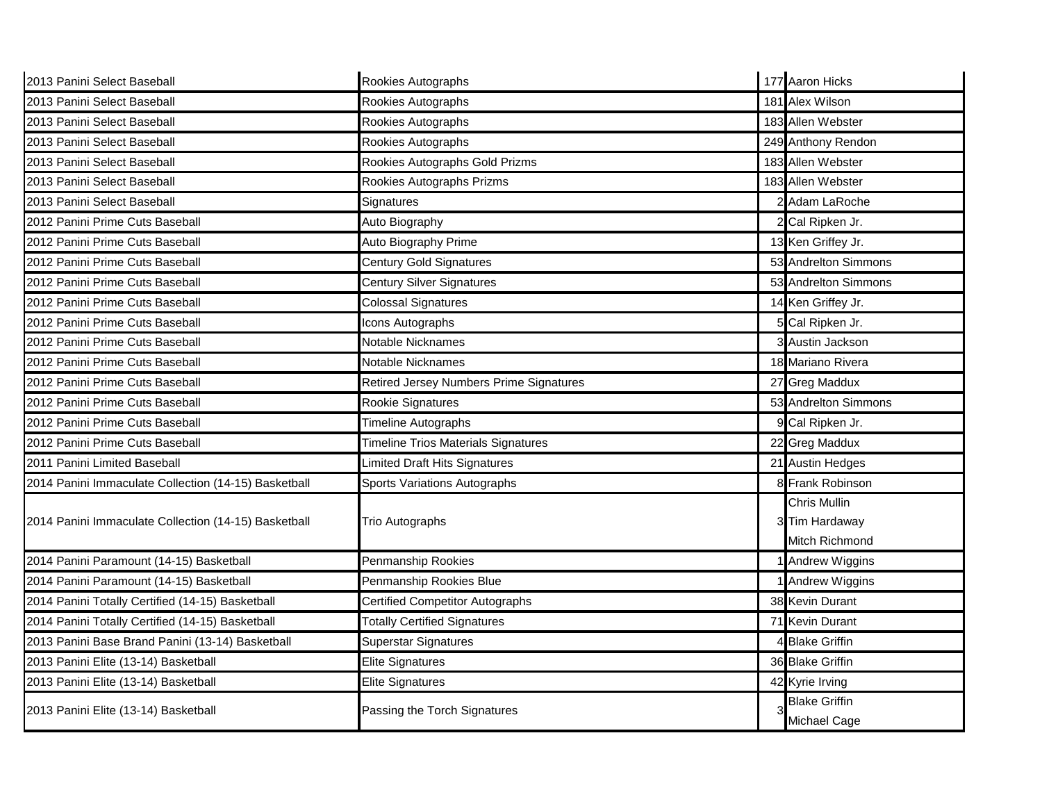| 2013 Panini Select Baseball                          | Rookies Autographs                             |   | 177 Aaron Hicks                                         |
|------------------------------------------------------|------------------------------------------------|---|---------------------------------------------------------|
| 2013 Panini Select Baseball                          | Rookies Autographs                             |   | 181 Alex Wilson                                         |
| 2013 Panini Select Baseball                          | Rookies Autographs                             |   | 183 Allen Webster                                       |
| 2013 Panini Select Baseball                          | Rookies Autographs                             |   | 249 Anthony Rendon                                      |
| 2013 Panini Select Baseball                          | Rookies Autographs Gold Prizms                 |   | 183 Allen Webster                                       |
| 2013 Panini Select Baseball                          | Rookies Autographs Prizms                      |   | 183 Allen Webster                                       |
| 2013 Panini Select Baseball                          | Signatures                                     |   | 2 Adam LaRoche                                          |
| 2012 Panini Prime Cuts Baseball                      | Auto Biography                                 |   | 2 Cal Ripken Jr.                                        |
| 2012 Panini Prime Cuts Baseball                      | Auto Biography Prime                           |   | 13 Ken Griffey Jr.                                      |
| 2012 Panini Prime Cuts Baseball                      | <b>Century Gold Signatures</b>                 |   | 53 Andrelton Simmons                                    |
| 2012 Panini Prime Cuts Baseball                      | <b>Century Silver Signatures</b>               |   | 53 Andrelton Simmons                                    |
| 2012 Panini Prime Cuts Baseball                      | <b>Colossal Signatures</b>                     |   | 14 Ken Griffey Jr.                                      |
| 2012 Panini Prime Cuts Baseball                      | Icons Autographs                               |   | 5 Cal Ripken Jr.                                        |
| 2012 Panini Prime Cuts Baseball                      | Notable Nicknames                              |   | 3 Austin Jackson                                        |
| 2012 Panini Prime Cuts Baseball                      | Notable Nicknames                              |   | 18 Mariano Rivera                                       |
| 2012 Panini Prime Cuts Baseball                      | <b>Retired Jersey Numbers Prime Signatures</b> |   | 27 Greg Maddux                                          |
| 2012 Panini Prime Cuts Baseball                      | Rookie Signatures                              |   | 53 Andrelton Simmons                                    |
| 2012 Panini Prime Cuts Baseball                      | Timeline Autographs                            |   | 9 Cal Ripken Jr.                                        |
| 2012 Panini Prime Cuts Baseball                      | <b>Timeline Trios Materials Signatures</b>     |   | 22 Greg Maddux                                          |
| 2011 Panini Limited Baseball                         | imited Draft Hits Signatures                   |   | 21 Austin Hedges                                        |
| 2014 Panini Immaculate Collection (14-15) Basketball | <b>Sports Variations Autographs</b>            |   | <b>Frank Robinson</b>                                   |
| 2014 Panini Immaculate Collection (14-15) Basketball | Trio Autographs                                |   | <b>Chris Mullin</b><br>3 Tim Hardaway<br>Mitch Richmond |
| 2014 Panini Paramount (14-15) Basketball             | Penmanship Rookies                             |   | Andrew Wiggins                                          |
| 2014 Panini Paramount (14-15) Basketball             | Penmanship Rookies Blue                        |   | Andrew Wiggins                                          |
| 2014 Panini Totally Certified (14-15) Basketball     | <b>Certified Competitor Autographs</b>         |   | 38 Kevin Durant                                         |
| 2014 Panini Totally Certified (14-15) Basketball     | <b>Totally Certified Signatures</b>            |   | 71 Kevin Durant                                         |
| 2013 Panini Base Brand Panini (13-14) Basketball     | <b>Superstar Signatures</b>                    |   | <b>Blake Griffin</b>                                    |
| 2013 Panini Elite (13-14) Basketball                 | <b>Elite Signatures</b>                        |   | 36 Blake Griffin                                        |
| 2013 Panini Elite (13-14) Basketball                 | <b>Elite Signatures</b>                        |   | 42 Kyrie Irving                                         |
| 2013 Panini Elite (13-14) Basketball                 | Passing the Torch Signatures                   | 3 | <b>Blake Griffin</b>                                    |
|                                                      |                                                |   | Michael Cage                                            |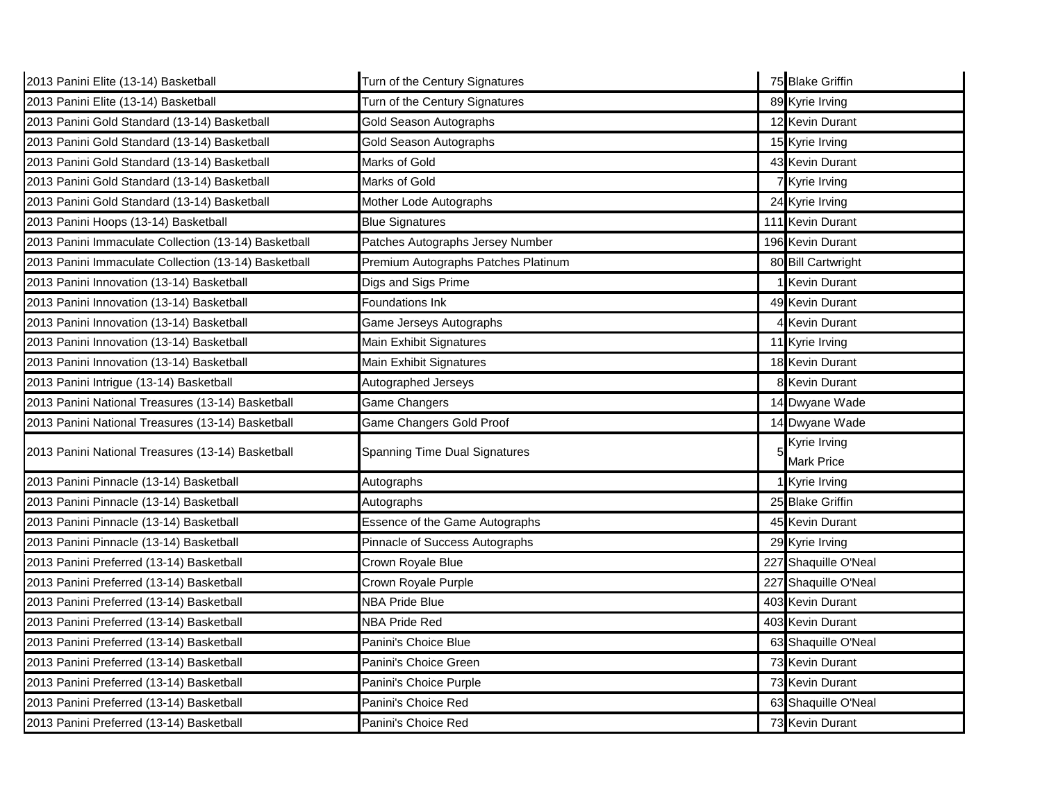| 2013 Panini Elite (13-14) Basketball                 | Turn of the Century Signatures       | 75 Blake Griffin     |
|------------------------------------------------------|--------------------------------------|----------------------|
| 2013 Panini Elite (13-14) Basketball                 | Turn of the Century Signatures       | 89 Kyrie Irving      |
| 2013 Panini Gold Standard (13-14) Basketball         | Gold Season Autographs               | 12 Kevin Durant      |
| 2013 Panini Gold Standard (13-14) Basketball         | Gold Season Autographs               | 15 Kyrie Irving      |
| 2013 Panini Gold Standard (13-14) Basketball         | Marks of Gold                        | 43 Kevin Durant      |
| 2013 Panini Gold Standard (13-14) Basketball         | Marks of Gold                        | 7 Kyrie Irving       |
| 2013 Panini Gold Standard (13-14) Basketball         | Mother Lode Autographs               | 24 Kyrie Irving      |
| 2013 Panini Hoops (13-14) Basketball                 | <b>Blue Signatures</b>               | 111 Kevin Durant     |
| 2013 Panini Immaculate Collection (13-14) Basketball | Patches Autographs Jersey Number     | 196 Kevin Durant     |
| 2013 Panini Immaculate Collection (13-14) Basketball | Premium Autographs Patches Platinum  | 80 Bill Cartwright   |
| 2013 Panini Innovation (13-14) Basketball            | Digs and Sigs Prime                  | <b>Kevin Durant</b>  |
| 2013 Panini Innovation (13-14) Basketball            | Foundations Ink                      | 49 Kevin Durant      |
| 2013 Panini Innovation (13-14) Basketball            | Game Jerseys Autographs              | <b>Kevin Durant</b>  |
| 2013 Panini Innovation (13-14) Basketball            | Main Exhibit Signatures              | 11 Kyrie Irving      |
| 2013 Panini Innovation (13-14) Basketball            | Main Exhibit Signatures              | 18 Kevin Durant      |
| 2013 Panini Intrigue (13-14) Basketball              | Autographed Jerseys                  | 8 Kevin Durant       |
| 2013 Panini National Treasures (13-14) Basketball    | Game Changers                        | 14 Dwyane Wade       |
| 2013 Panini National Treasures (13-14) Basketball    | Game Changers Gold Proof             | 14 Dwyane Wade       |
| 2013 Panini National Treasures (13-14) Basketball    | <b>Spanning Time Dual Signatures</b> | Kyrie Irving         |
|                                                      |                                      | <b>Mark Price</b>    |
| 2013 Panini Pinnacle (13-14) Basketball              | Autographs                           | Kyrie Irving         |
| 2013 Panini Pinnacle (13-14) Basketball              | Autographs                           | 25 Blake Griffin     |
| 2013 Panini Pinnacle (13-14) Basketball              | Essence of the Game Autographs       | 45 Kevin Durant      |
| 2013 Panini Pinnacle (13-14) Basketball              | Pinnacle of Success Autographs       | 29 Kyrie Irving      |
| 2013 Panini Preferred (13-14) Basketball             | Crown Royale Blue                    | 227 Shaquille O'Neal |
| 2013 Panini Preferred (13-14) Basketball             | Crown Royale Purple                  | 227 Shaquille O'Neal |
| 2013 Panini Preferred (13-14) Basketball             | <b>NBA Pride Blue</b>                | 403 Kevin Durant     |
| 2013 Panini Preferred (13-14) Basketball             | <b>NBA Pride Red</b>                 | 403 Kevin Durant     |
| 2013 Panini Preferred (13-14) Basketball             | Panini's Choice Blue                 | 63 Shaquille O'Neal  |
| 2013 Panini Preferred (13-14) Basketball             | Panini's Choice Green                | 73 Kevin Durant      |
| 2013 Panini Preferred (13-14) Basketball             | Panini's Choice Purple               | 73 Kevin Durant      |
| 2013 Panini Preferred (13-14) Basketball             | Panini's Choice Red                  | 63 Shaquille O'Neal  |
| 2013 Panini Preferred (13-14) Basketball             | Panini's Choice Red                  | 73 Kevin Durant      |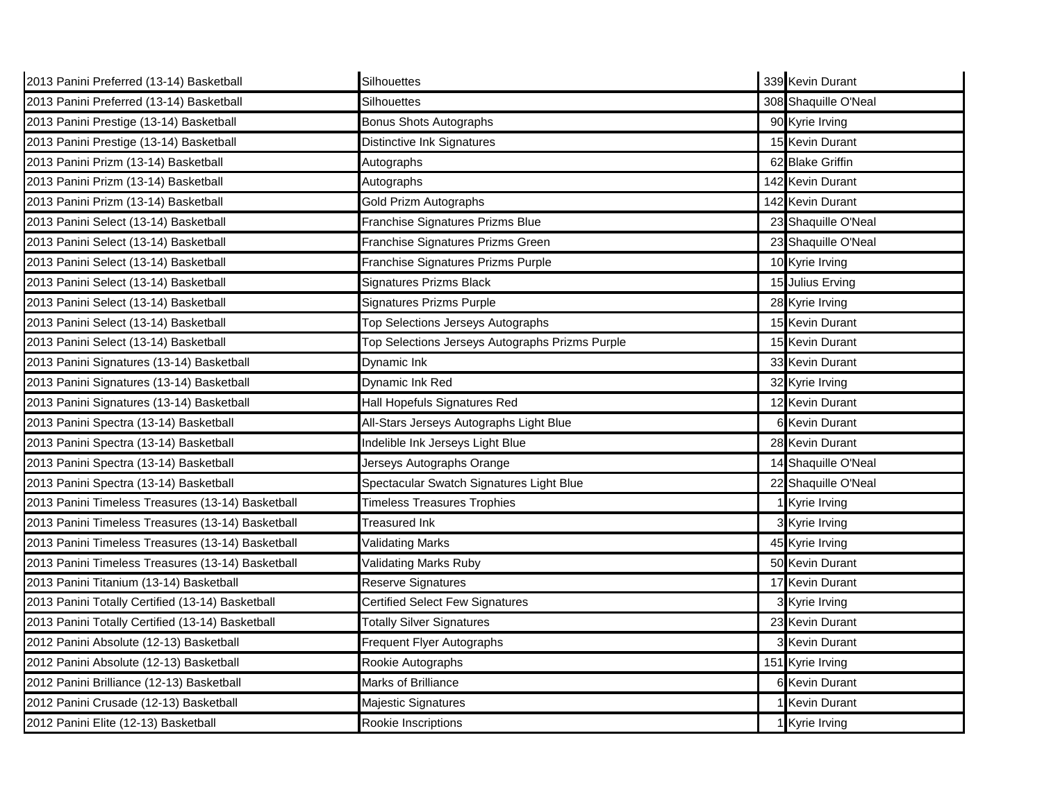| 2013 Panini Preferred (13-14) Basketball          | Silhouettes                                     | 339 Kevin Durant     |
|---------------------------------------------------|-------------------------------------------------|----------------------|
| 2013 Panini Preferred (13-14) Basketball          | Silhouettes                                     | 308 Shaquille O'Neal |
| 2013 Panini Prestige (13-14) Basketball           | <b>Bonus Shots Autographs</b>                   | 90 Kyrie Irving      |
| 2013 Panini Prestige (13-14) Basketball           | <b>Distinctive Ink Signatures</b>               | 15 Kevin Durant      |
| 2013 Panini Prizm (13-14) Basketball              | Autographs                                      | 62 Blake Griffin     |
| 2013 Panini Prizm (13-14) Basketball              | Autographs                                      | 142 Kevin Durant     |
| 2013 Panini Prizm (13-14) Basketball              | Gold Prizm Autographs                           | 142 Kevin Durant     |
| 2013 Panini Select (13-14) Basketball             | Franchise Signatures Prizms Blue                | 23 Shaquille O'Neal  |
| 2013 Panini Select (13-14) Basketball             | Franchise Signatures Prizms Green               | 23 Shaquille O'Neal  |
| 2013 Panini Select (13-14) Basketball             | Franchise Signatures Prizms Purple              | 10 Kyrie Irving      |
| 2013 Panini Select (13-14) Basketball             | Signatures Prizms Black                         | 15 Julius Erving     |
| 2013 Panini Select (13-14) Basketball             | <b>Signatures Prizms Purple</b>                 | 28 Kyrie Irving      |
| 2013 Panini Select (13-14) Basketball             | Top Selections Jerseys Autographs               | 15 Kevin Durant      |
| 2013 Panini Select (13-14) Basketball             | Top Selections Jerseys Autographs Prizms Purple | 15 Kevin Durant      |
| 2013 Panini Signatures (13-14) Basketball         | Dynamic Ink                                     | 33 Kevin Durant      |
| 2013 Panini Signatures (13-14) Basketball         | Dynamic Ink Red                                 | 32 Kyrie Irving      |
| 2013 Panini Signatures (13-14) Basketball         | Hall Hopefuls Signatures Red                    | 12 Kevin Durant      |
| 2013 Panini Spectra (13-14) Basketball            | All-Stars Jerseys Autographs Light Blue         | 6 Kevin Durant       |
| 2013 Panini Spectra (13-14) Basketball            | Indelible Ink Jerseys Light Blue                | 28 Kevin Durant      |
| 2013 Panini Spectra (13-14) Basketball            | Jerseys Autographs Orange                       | 14 Shaquille O'Neal  |
| 2013 Panini Spectra (13-14) Basketball            | Spectacular Swatch Signatures Light Blue        | 22 Shaquille O'Neal  |
| 2013 Panini Timeless Treasures (13-14) Basketball | <b>Timeless Treasures Trophies</b>              | Kyrie Irving         |
| 2013 Panini Timeless Treasures (13-14) Basketball | Treasured Ink                                   | 3 Kyrie Irving       |
| 2013 Panini Timeless Treasures (13-14) Basketball | <b>Validating Marks</b>                         | 45 Kyrie Irving      |
| 2013 Panini Timeless Treasures (13-14) Basketball | Validating Marks Ruby                           | 50 Kevin Durant      |
| 2013 Panini Titanium (13-14) Basketball           | Reserve Signatures                              | 17 Kevin Durant      |
| 2013 Panini Totally Certified (13-14) Basketball  | <b>Certified Select Few Signatures</b>          | 3 Kyrie Irving       |
| 2013 Panini Totally Certified (13-14) Basketball  | <b>Totally Silver Signatures</b>                | 23 Kevin Durant      |
| 2012 Panini Absolute (12-13) Basketball           | Frequent Flyer Autographs                       | 3 Kevin Durant       |
| 2012 Panini Absolute (12-13) Basketball           | Rookie Autographs                               | 151 Kyrie Irving     |
| 2012 Panini Brilliance (12-13) Basketball         | Marks of Brilliance                             | 6 Kevin Durant       |
| 2012 Panini Crusade (12-13) Basketball            | Majestic Signatures                             | <b>Kevin Durant</b>  |
| 2012 Panini Elite (12-13) Basketball              | Rookie Inscriptions                             | 1 Kyrie Irving       |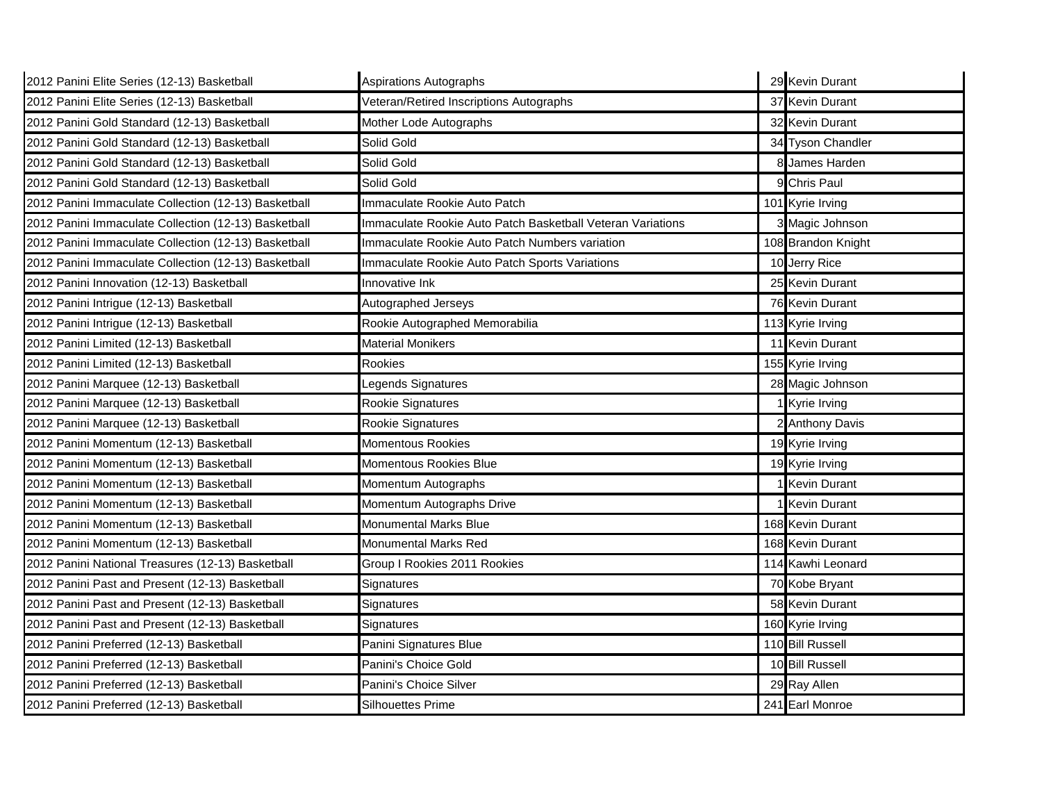| 2012 Panini Elite Series (12-13) Basketball          | <b>Aspirations Autographs</b>                              | 29 Kevin Durant     |
|------------------------------------------------------|------------------------------------------------------------|---------------------|
| 2012 Panini Elite Series (12-13) Basketball          | Veteran/Retired Inscriptions Autographs                    | 37 Kevin Durant     |
| 2012 Panini Gold Standard (12-13) Basketball         | Mother Lode Autographs                                     | 32 Kevin Durant     |
| 2012 Panini Gold Standard (12-13) Basketball         | Solid Gold                                                 | 34 Tyson Chandler   |
| 2012 Panini Gold Standard (12-13) Basketball         | Solid Gold                                                 | 8 James Harden      |
| 2012 Panini Gold Standard (12-13) Basketball         | Solid Gold                                                 | 9 Chris Paul        |
| 2012 Panini Immaculate Collection (12-13) Basketball | Immaculate Rookie Auto Patch                               | 101 Kyrie Irving    |
| 2012 Panini Immaculate Collection (12-13) Basketball | Immaculate Rookie Auto Patch Basketball Veteran Variations | 3 Magic Johnson     |
| 2012 Panini Immaculate Collection (12-13) Basketball | Immaculate Rookie Auto Patch Numbers variation             | 108 Brandon Knight  |
| 2012 Panini Immaculate Collection (12-13) Basketball | Immaculate Rookie Auto Patch Sports Variations             | 10 Jerry Rice       |
| 2012 Panini Innovation (12-13) Basketball            | Innovative Ink                                             | 25 Kevin Durant     |
| 2012 Panini Intrigue (12-13) Basketball              | Autographed Jerseys                                        | 76 Kevin Durant     |
| 2012 Panini Intrigue (12-13) Basketball              | Rookie Autographed Memorabilia                             | 113 Kyrie Irving    |
| 2012 Panini Limited (12-13) Basketball               | <b>Material Monikers</b>                                   | 11 Kevin Durant     |
| 2012 Panini Limited (12-13) Basketball               | Rookies                                                    | 155 Kyrie Irving    |
| 2012 Panini Marquee (12-13) Basketball               | egends Signatures                                          | 28 Magic Johnson    |
| 2012 Panini Marquee (12-13) Basketball               | Rookie Signatures                                          | 1 Kyrie Irving      |
| 2012 Panini Marquee (12-13) Basketball               | Rookie Signatures                                          | 2 Anthony Davis     |
| 2012 Panini Momentum (12-13) Basketball              | <b>Momentous Rookies</b>                                   | 19 Kyrie Irving     |
| 2012 Panini Momentum (12-13) Basketball              | Momentous Rookies Blue                                     | 19 Kyrie Irving     |
| 2012 Panini Momentum (12-13) Basketball              | Momentum Autographs                                        | 1 Kevin Durant      |
| 2012 Panini Momentum (12-13) Basketball              | Momentum Autographs Drive                                  | <b>Kevin Durant</b> |
| 2012 Panini Momentum (12-13) Basketball              | Monumental Marks Blue                                      | 168 Kevin Durant    |
| 2012 Panini Momentum (12-13) Basketball              | Monumental Marks Red                                       | 168 Kevin Durant    |
| 2012 Panini National Treasures (12-13) Basketball    | Group I Rookies 2011 Rookies                               | 114 Kawhi Leonard   |
| 2012 Panini Past and Present (12-13) Basketball      | Signatures                                                 | 70 Kobe Bryant      |
| 2012 Panini Past and Present (12-13) Basketball      | Signatures                                                 | 58 Kevin Durant     |
| 2012 Panini Past and Present (12-13) Basketball      | Signatures                                                 | 160 Kyrie Irving    |
| 2012 Panini Preferred (12-13) Basketball             | Panini Signatures Blue                                     | 110 Bill Russell    |
| 2012 Panini Preferred (12-13) Basketball             | Panini's Choice Gold                                       | 10 Bill Russell     |
| 2012 Panini Preferred (12-13) Basketball             | Panini's Choice Silver                                     | 29 Ray Allen        |
| 2012 Panini Preferred (12-13) Basketball             | <b>Silhouettes Prime</b>                                   | 241 Earl Monroe     |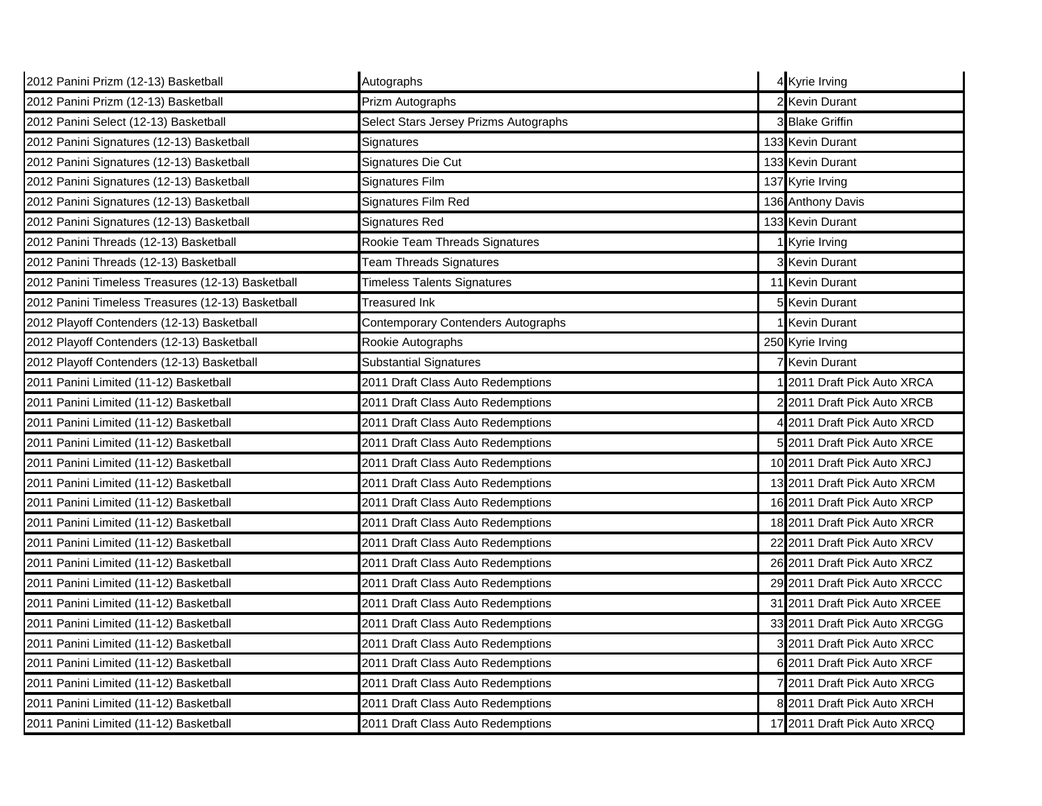| 2012 Panini Prizm (12-13) Basketball              | Autographs                            |   | 4 Kyrie Irving                |
|---------------------------------------------------|---------------------------------------|---|-------------------------------|
| 2012 Panini Prizm (12-13) Basketball              | Prizm Autographs                      |   | 2 Kevin Durant                |
| 2012 Panini Select (12-13) Basketball             | Select Stars Jersey Prizms Autographs |   | 3 Blake Griffin               |
| 2012 Panini Signatures (12-13) Basketball         | Signatures                            |   | 133 Kevin Durant              |
| 2012 Panini Signatures (12-13) Basketball         | Signatures Die Cut                    |   | 133 Kevin Durant              |
| 2012 Panini Signatures (12-13) Basketball         | Signatures Film                       |   | 137 Kyrie Irving              |
| 2012 Panini Signatures (12-13) Basketball         | Signatures Film Red                   |   | 136 Anthony Davis             |
| 2012 Panini Signatures (12-13) Basketball         | Signatures Red                        |   | 133 Kevin Durant              |
| 2012 Panini Threads (12-13) Basketball            | Rookie Team Threads Signatures        |   | Kyrie Irving                  |
| 2012 Panini Threads (12-13) Basketball            | <b>Team Threads Signatures</b>        |   | 3 Kevin Durant                |
| 2012 Panini Timeless Treasures (12-13) Basketball | <b>Timeless Talents Signatures</b>    |   | 11 Kevin Durant               |
| 2012 Panini Timeless Treasures (12-13) Basketball | Treasured Ink                         | 5 | <b>Kevin Durant</b>           |
| 2012 Playoff Contenders (12-13) Basketball        | Contemporary Contenders Autographs    |   | <b>Kevin Durant</b>           |
| 2012 Playoff Contenders (12-13) Basketball        | Rookie Autographs                     |   | 250 Kyrie Irving              |
| 2012 Playoff Contenders (12-13) Basketball        | <b>Substantial Signatures</b>         |   | <b>7 Kevin Durant</b>         |
| 2011 Panini Limited (11-12) Basketball            | 2011 Draft Class Auto Redemptions     |   | 2011 Draft Pick Auto XRCA     |
| 2011 Panini Limited (11-12) Basketball            | 2011 Draft Class Auto Redemptions     |   | 2 2011 Draft Pick Auto XRCB   |
| 2011 Panini Limited (11-12) Basketball            | 2011 Draft Class Auto Redemptions     |   | 4 2011 Draft Pick Auto XRCD   |
| 2011 Panini Limited (11-12) Basketball            | 2011 Draft Class Auto Redemptions     |   | 5 2011 Draft Pick Auto XRCE   |
| 2011 Panini Limited (11-12) Basketball            | 2011 Draft Class Auto Redemptions     |   | 10 2011 Draft Pick Auto XRCJ  |
| 2011 Panini Limited (11-12) Basketball            | 2011 Draft Class Auto Redemptions     |   | 13 2011 Draft Pick Auto XRCM  |
| 2011 Panini Limited (11-12) Basketball            | 2011 Draft Class Auto Redemptions     |   | 16 2011 Draft Pick Auto XRCP  |
| 2011 Panini Limited (11-12) Basketball            | 2011 Draft Class Auto Redemptions     |   | 18 2011 Draft Pick Auto XRCR  |
| 2011 Panini Limited (11-12) Basketball            | 2011 Draft Class Auto Redemptions     |   | 22 2011 Draft Pick Auto XRCV  |
| 2011 Panini Limited (11-12) Basketball            | 2011 Draft Class Auto Redemptions     |   | 26 2011 Draft Pick Auto XRCZ  |
| 2011 Panini Limited (11-12) Basketball            | 2011 Draft Class Auto Redemptions     |   | 29 2011 Draft Pick Auto XRCCC |
| 2011 Panini Limited (11-12) Basketball            | 2011 Draft Class Auto Redemptions     |   | 31 2011 Draft Pick Auto XRCEE |
| 2011 Panini Limited (11-12) Basketball            | 2011 Draft Class Auto Redemptions     |   | 33 2011 Draft Pick Auto XRCGG |
| 2011 Panini Limited (11-12) Basketball            | 2011 Draft Class Auto Redemptions     |   | 3 2011 Draft Pick Auto XRCC   |
| 2011 Panini Limited (11-12) Basketball            | 2011 Draft Class Auto Redemptions     |   | 6 2011 Draft Pick Auto XRCF   |
| 2011 Panini Limited (11-12) Basketball            | 2011 Draft Class Auto Redemptions     |   | 7 2011 Draft Pick Auto XRCG   |
| 2011 Panini Limited (11-12) Basketball            | 2011 Draft Class Auto Redemptions     |   | 8 2011 Draft Pick Auto XRCH   |
| 2011 Panini Limited (11-12) Basketball            | 2011 Draft Class Auto Redemptions     |   | 17 2011 Draft Pick Auto XRCQ  |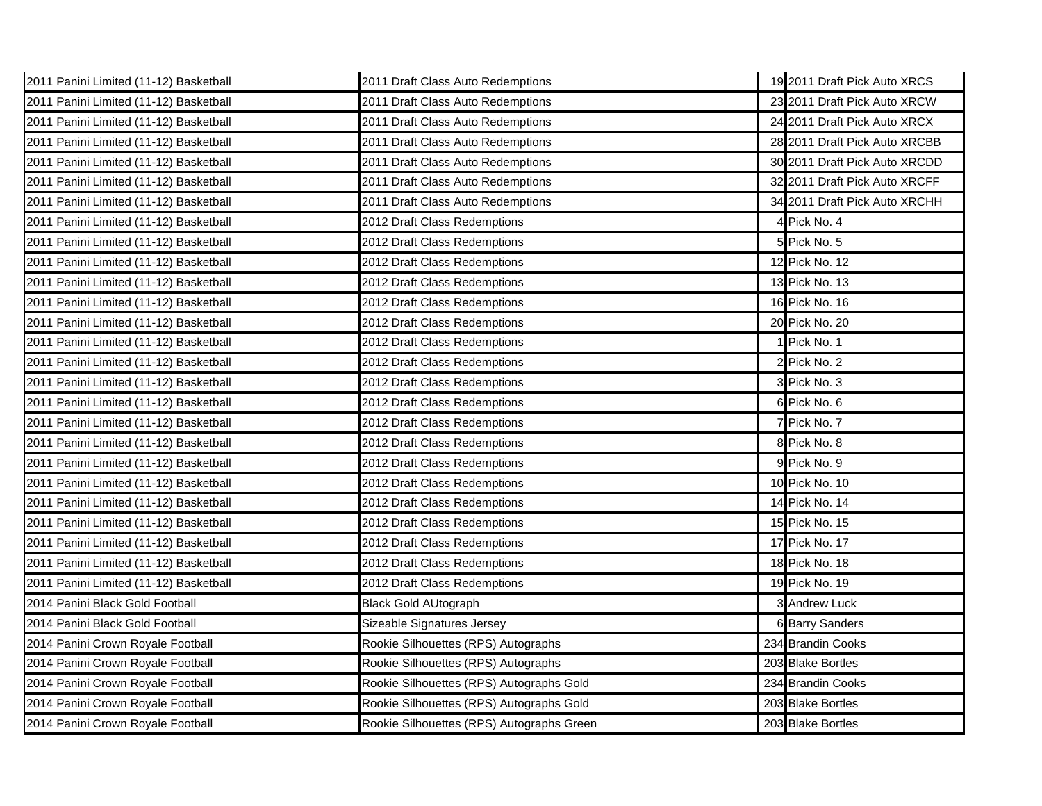| 2011 Panini Limited (11-12) Basketball | 2011 Draft Class Auto Redemptions         | 19 2011 Draft Pick Auto XRCS  |
|----------------------------------------|-------------------------------------------|-------------------------------|
| 2011 Panini Limited (11-12) Basketball | 2011 Draft Class Auto Redemptions         | 23 2011 Draft Pick Auto XRCW  |
| 2011 Panini Limited (11-12) Basketball | 2011 Draft Class Auto Redemptions         | 24 2011 Draft Pick Auto XRCX  |
| 2011 Panini Limited (11-12) Basketball | 2011 Draft Class Auto Redemptions         | 28 2011 Draft Pick Auto XRCBB |
| 2011 Panini Limited (11-12) Basketball | 2011 Draft Class Auto Redemptions         | 30 2011 Draft Pick Auto XRCDD |
| 2011 Panini Limited (11-12) Basketball | 2011 Draft Class Auto Redemptions         | 32 2011 Draft Pick Auto XRCFF |
| 2011 Panini Limited (11-12) Basketball | 2011 Draft Class Auto Redemptions         | 34 2011 Draft Pick Auto XRCHH |
| 2011 Panini Limited (11-12) Basketball | 2012 Draft Class Redemptions              | Pick No. 4                    |
| 2011 Panini Limited (11-12) Basketball | 2012 Draft Class Redemptions              | Pick No. 5                    |
| 2011 Panini Limited (11-12) Basketball | 2012 Draft Class Redemptions              | 12 Pick No. 12                |
| 2011 Panini Limited (11-12) Basketball | 2012 Draft Class Redemptions              | 13 Pick No. 13                |
| 2011 Panini Limited (11-12) Basketball | 2012 Draft Class Redemptions              | 16 Pick No. 16                |
| 2011 Panini Limited (11-12) Basketball | 2012 Draft Class Redemptions              | 20 Pick No. 20                |
| 2011 Panini Limited (11-12) Basketball | 2012 Draft Class Redemptions              | 1 Pick No. 1                  |
| 2011 Panini Limited (11-12) Basketball | 2012 Draft Class Redemptions              | 2 Pick No. 2                  |
| 2011 Panini Limited (11-12) Basketball | 2012 Draft Class Redemptions              | 3 Pick No. 3                  |
| 2011 Panini Limited (11-12) Basketball | 2012 Draft Class Redemptions              | 6 Pick No. 6                  |
| 2011 Panini Limited (11-12) Basketball | 2012 Draft Class Redemptions              | 7 Pick No. 7                  |
| 2011 Panini Limited (11-12) Basketball | 2012 Draft Class Redemptions              | 8 Pick No. 8                  |
| 2011 Panini Limited (11-12) Basketball | 2012 Draft Class Redemptions              | 9 Pick No. 9                  |
| 2011 Panini Limited (11-12) Basketball | 2012 Draft Class Redemptions              | 10 Pick No. 10                |
| 2011 Panini Limited (11-12) Basketball | 2012 Draft Class Redemptions              | 14 Pick No. 14                |
| 2011 Panini Limited (11-12) Basketball | 2012 Draft Class Redemptions              | 15 Pick No. 15                |
| 2011 Panini Limited (11-12) Basketball | 2012 Draft Class Redemptions              | 17 Pick No. 17                |
| 2011 Panini Limited (11-12) Basketball | 2012 Draft Class Redemptions              | 18 Pick No. 18                |
| 2011 Panini Limited (11-12) Basketball | 2012 Draft Class Redemptions              | 19 Pick No. 19                |
| 2014 Panini Black Gold Football        | <b>Black Gold AUtograph</b>               | 3 Andrew Luck                 |
| 2014 Panini Black Gold Football        | Sizeable Signatures Jersey                | 6 Barry Sanders               |
| 2014 Panini Crown Royale Football      | Rookie Silhouettes (RPS) Autographs       | 234 Brandin Cooks             |
| 2014 Panini Crown Royale Football      | Rookie Silhouettes (RPS) Autographs       | 203 Blake Bortles             |
| 2014 Panini Crown Royale Football      | Rookie Silhouettes (RPS) Autographs Gold  | 234 Brandin Cooks             |
| 2014 Panini Crown Royale Football      | Rookie Silhouettes (RPS) Autographs Gold  | 203 Blake Bortles             |
| 2014 Panini Crown Royale Football      | Rookie Silhouettes (RPS) Autographs Green | 203 Blake Bortles             |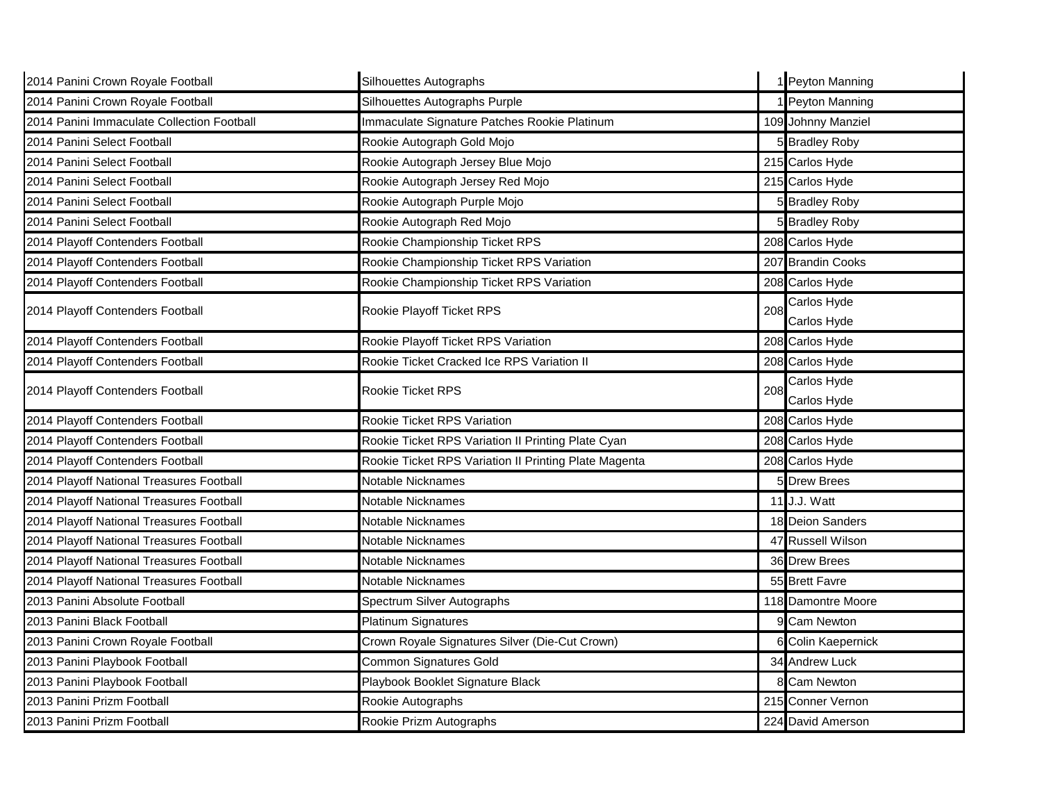| 2014 Panini Crown Royale Football          | Silhouettes Autographs                                |     | 1 Peyton Manning      |
|--------------------------------------------|-------------------------------------------------------|-----|-----------------------|
| 2014 Panini Crown Royale Football          | Silhouettes Autographs Purple                         |     | Peyton Manning        |
| 2014 Panini Immaculate Collection Football | Immaculate Signature Patches Rookie Platinum          |     | 109 Johnny Manziel    |
| 2014 Panini Select Football                | Rookie Autograph Gold Mojo                            |     | 5 Bradley Roby        |
| 2014 Panini Select Football                | Rookie Autograph Jersey Blue Mojo                     |     | 215 Carlos Hyde       |
| 2014 Panini Select Football                | Rookie Autograph Jersey Red Mojo                      |     | 215 Carlos Hyde       |
| 2014 Panini Select Football                | Rookie Autograph Purple Mojo                          |     | 5 Bradley Roby        |
| 2014 Panini Select Football                | Rookie Autograph Red Mojo                             |     | 5 Bradley Roby        |
| 2014 Playoff Contenders Football           | Rookie Championship Ticket RPS                        |     | 208 Carlos Hyde       |
| 2014 Playoff Contenders Football           | Rookie Championship Ticket RPS Variation              |     | 207 Brandin Cooks     |
| 2014 Playoff Contenders Football           | Rookie Championship Ticket RPS Variation              |     | 208 Carlos Hyde       |
| 2014 Playoff Contenders Football           | Rookie Playoff Ticket RPS                             | 208 | Carlos Hyde           |
|                                            |                                                       |     | Carlos Hyde           |
| 2014 Playoff Contenders Football           | Rookie Playoff Ticket RPS Variation                   |     | 208 Carlos Hyde       |
| 2014 Playoff Contenders Football           | Rookie Ticket Cracked Ice RPS Variation II            |     | 208 Carlos Hyde       |
| 2014 Playoff Contenders Football           | Rookie Ticket RPS                                     | 208 | Carlos Hyde           |
|                                            |                                                       |     | Carlos Hyde           |
| 2014 Playoff Contenders Football           | Rookie Ticket RPS Variation                           |     | 208 Carlos Hyde       |
| 2014 Playoff Contenders Football           | Rookie Ticket RPS Variation II Printing Plate Cyan    |     | 208 Carlos Hyde       |
| 2014 Playoff Contenders Football           | Rookie Ticket RPS Variation II Printing Plate Magenta |     | 208 Carlos Hyde       |
| 2014 Playoff National Treasures Football   | Notable Nicknames                                     |     | <b>Drew Brees</b>     |
| 2014 Playoff National Treasures Football   | Notable Nicknames                                     |     | 11 J.J. Watt          |
| 2014 Playoff National Treasures Football   | Notable Nicknames                                     |     | 18 Deion Sanders      |
| 2014 Playoff National Treasures Football   | Notable Nicknames                                     | 47  | <b>Russell Wilson</b> |
| 2014 Playoff National Treasures Football   | Notable Nicknames                                     |     | 36 Drew Brees         |
| 2014 Playoff National Treasures Football   | Notable Nicknames                                     |     | 55 Brett Favre        |
| 2013 Panini Absolute Football              | Spectrum Silver Autographs                            |     | 118 Damontre Moore    |
| 2013 Panini Black Football                 | <b>Platinum Signatures</b>                            |     | <b>Cam Newton</b>     |
| 2013 Panini Crown Royale Football          | Crown Royale Signatures Silver (Die-Cut Crown)        |     | Colin Kaepernick      |
| 2013 Panini Playbook Football              | <b>Common Signatures Gold</b>                         |     | 34 Andrew Luck        |
| 2013 Panini Playbook Football              | Playbook Booklet Signature Black                      |     | 8 Cam Newton          |
| 2013 Panini Prizm Football                 | Rookie Autographs                                     |     | 215 Conner Vernon     |
| 2013 Panini Prizm Football                 | Rookie Prizm Autographs                               |     | 224 David Amerson     |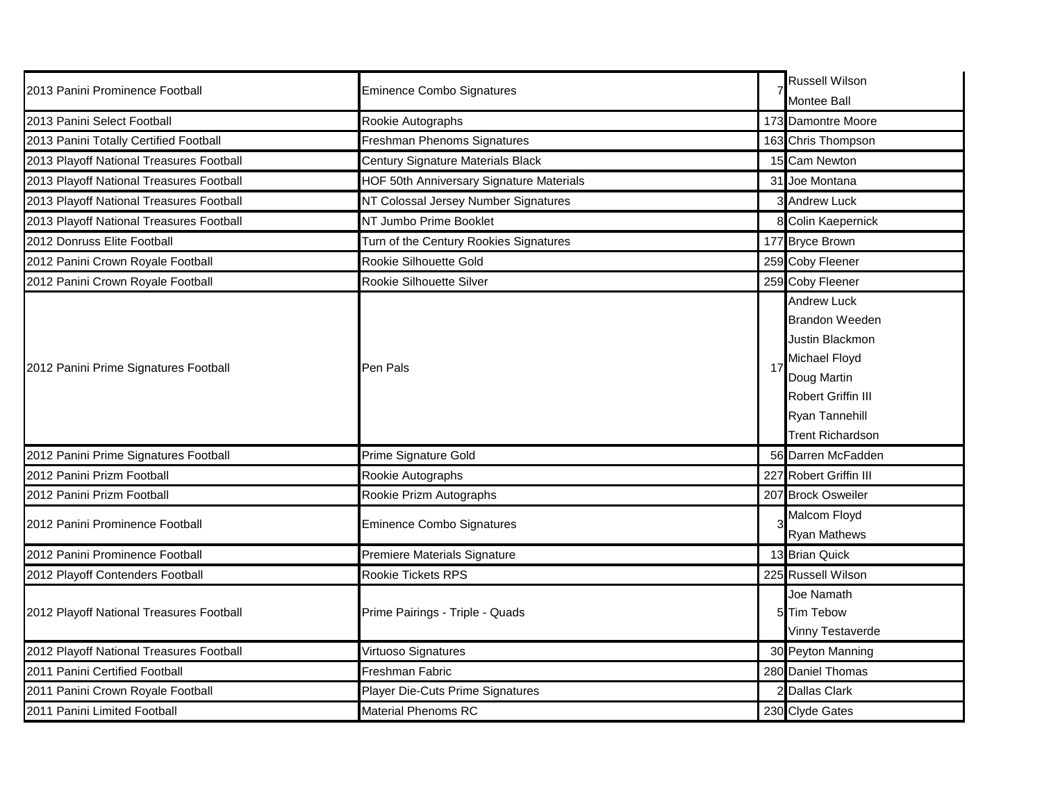| 2013 Panini Prominence Football          | <b>Eminence Combo Signatures</b>         | <b>Russell Wilson</b>                                                                                                                                                    |
|------------------------------------------|------------------------------------------|--------------------------------------------------------------------------------------------------------------------------------------------------------------------------|
|                                          |                                          | <b>Montee Ball</b>                                                                                                                                                       |
| 2013 Panini Select Football              | Rookie Autographs                        | 173 Damontre Moore                                                                                                                                                       |
| 2013 Panini Totally Certified Football   | Freshman Phenoms Signatures              | 163 Chris Thompson                                                                                                                                                       |
| 2013 Playoff National Treasures Football | Century Signature Materials Black        | 15 Cam Newton                                                                                                                                                            |
| 2013 Playoff National Treasures Football | HOF 50th Anniversary Signature Materials | 31 Joe Montana                                                                                                                                                           |
| 2013 Playoff National Treasures Football | NT Colossal Jersey Number Signatures     | 3 Andrew Luck                                                                                                                                                            |
| 2013 Playoff National Treasures Football | NT Jumbo Prime Booklet                   | 8 Colin Kaepernick                                                                                                                                                       |
| 2012 Donruss Elite Football              | Turn of the Century Rookies Signatures   | 177 Bryce Brown                                                                                                                                                          |
| 2012 Panini Crown Royale Football        | Rookie Silhouette Gold                   | 259 Coby Fleener                                                                                                                                                         |
| 2012 Panini Crown Royale Football        | Rookie Silhouette Silver                 | 259 Coby Fleener                                                                                                                                                         |
| 2012 Panini Prime Signatures Football    | Pen Pals                                 | <b>Andrew Luck</b><br><b>Brandon Weeden</b><br>Justin Blackmon<br>Michael Floyd<br>Doug Martin<br><b>Robert Griffin III</b><br>Ryan Tannehill<br><b>Trent Richardson</b> |
| 2012 Panini Prime Signatures Football    | Prime Signature Gold                     | 56 Darren McFadden                                                                                                                                                       |
| 2012 Panini Prizm Football               | Rookie Autographs                        | 227 Robert Griffin III                                                                                                                                                   |
| 2012 Panini Prizm Football               | Rookie Prizm Autographs                  | 207 Brock Osweiler                                                                                                                                                       |
| 2012 Panini Prominence Football          | <b>Eminence Combo Signatures</b>         | Malcom Floyd<br><b>Ryan Mathews</b>                                                                                                                                      |
| 2012 Panini Prominence Football          | Premiere Materials Signature             | 13 Brian Quick                                                                                                                                                           |
| 2012 Playoff Contenders Football         | Rookie Tickets RPS                       | 225 Russell Wilson                                                                                                                                                       |
| 2012 Playoff National Treasures Football | Prime Pairings - Triple - Quads          | Joe Namath<br>5 Tim Tebow<br>Vinny Testaverde                                                                                                                            |
| 2012 Playoff National Treasures Football | Virtuoso Signatures                      | 30 Peyton Manning                                                                                                                                                        |
| 2011 Panini Certified Football           | Freshman Fabric                          | 280 Daniel Thomas                                                                                                                                                        |
| 2011 Panini Crown Royale Football        | Player Die-Cuts Prime Signatures         | 2 Dallas Clark                                                                                                                                                           |
| 2011 Panini Limited Football             | <b>Material Phenoms RC</b>               | 230 Clyde Gates                                                                                                                                                          |
|                                          |                                          |                                                                                                                                                                          |